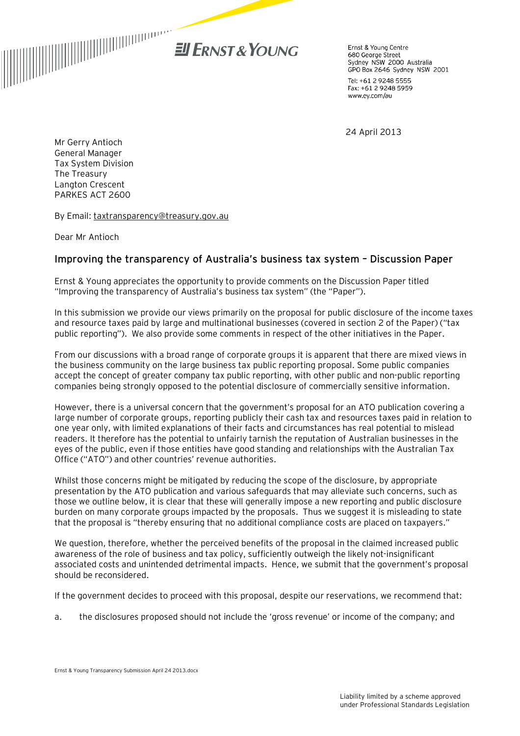

Ernst & Young Centre 680 George Street Soo Seorge Street<br>Sydney NSW 2000 Australia GPO Box 2646 Sydney NSW 2001

Tel: +61 2 9248 5555 Fax: +61 2 9248 5959 www.ey.com/au

24 April 2013

Mr Gerry Antioch General Manager Tax System Division The Treasury Langton Crescent PARKES ACT 2600

By Email: [taxtransparency@treasury.gov.au](mailto:taxtransparency@treasury.gov.au)

Dear Mr Antioch

#### **Improving the transparency of Australia's business tax system – Discussion Paper**

Ernst & Young appreciates the opportunity to provide comments on the Discussion Paper titled "Improving the transparency of Australia's business tax system" (the "Paper").

In this submission we provide our views primarily on the proposal for public disclosure of the income taxes and resource taxes paid by large and multinational businesses (covered in section 2 of the Paper) ("tax public reporting"). We also provide some comments in respect of the other initiatives in the Paper.

From our discussions with a broad range of corporate groups it is apparent that there are mixed views in the business community on the large business tax public reporting proposal. Some public companies accept the concept of greater company tax public reporting, with other public and non-public reporting companies being strongly opposed to the potential disclosure of commercially sensitive information.

However, there is a universal concern that the government's proposal for an ATO publication covering a large number of corporate groups, reporting publicly their cash tax and resources taxes paid in relation to one year only, with limited explanations of their facts and circumstances has real potential to mislead readers. It therefore has the potential to unfairly tarnish the reputation of Australian businesses in the eyes of the public, even if those entities have good standing and relationships with the Australian Tax Office ("ATO") and other countries' revenue authorities.

Whilst those concerns might be mitigated by reducing the scope of the disclosure, by appropriate presentation by the ATO publication and various safeguards that may alleviate such concerns, such as those we outline below, it is clear that these will generally impose a new reporting and public disclosure burden on many corporate groups impacted by the proposals. Thus we suggest it is misleading to state that the proposal is "thereby ensuring that no additional compliance costs are placed on taxpayers."

We question, therefore, whether the perceived benefits of the proposal in the claimed increased public awareness of the role of business and tax policy, sufficiently outweigh the likely not-insignificant associated costs and unintended detrimental impacts. Hence, we submit that the government's proposal should be reconsidered.

If the government decides to proceed with this proposal, despite our reservations, we recommend that:

a. the disclosures proposed should not include the 'gross revenue' or income of the company; and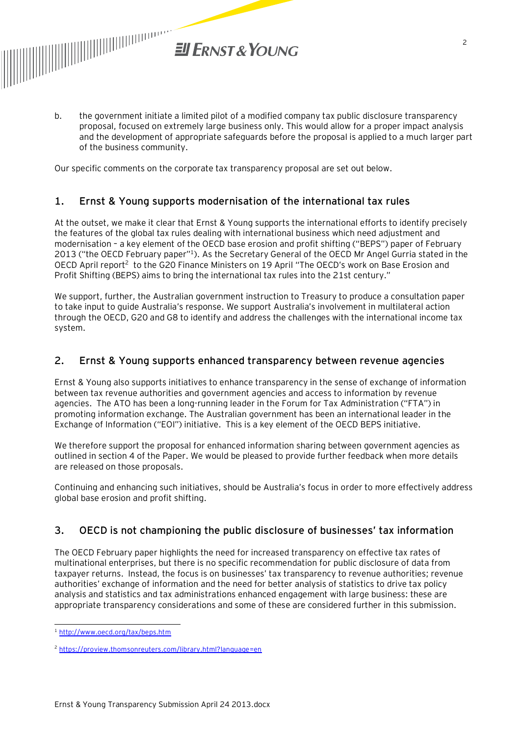

b. the government initiate a limited pilot of a modified company tax public disclosure transparency proposal, focused on extremely large business only. This would allow for a proper impact analysis and the development of appropriate safeguards before the proposal is applied to a much larger part of the business community.

Our specific comments on the corporate tax transparency proposal are set out below.

## **1. Ernst & Young supports modernisation of the international tax rules**

At the outset, we make it clear that Ernst & Young supports the international efforts to identify precisely the features of the global tax rules dealing with international business which need adjustment and modernisation – a key element of the OECD base erosion and profit shifting ("BEPS") paper of February 2013 ("the OECD February paper"<sup>1</sup>). As the Secretary General of the OECD Mr Angel Gurria stated in the OECD April report<sup>2</sup> to the G20 Finance Ministers on 19 April "The OECD's work on Base Erosion and Profit Shifting (BEPS) aims to bring the international tax rules into the 21st century."

We support, further, the Australian government instruction to Treasury to produce a consultation paper to take input to guide Australia's response. We support Australia's involvement in multilateral action through the OECD, G20 and G8 to identify and address the challenges with the international income tax system.

### **2. Ernst & Young supports enhanced transparency between revenue agencies**

Ernst & Young also supports initiatives to enhance transparency in the sense of exchange of information between tax revenue authorities and government agencies and access to information by revenue agencies. The ATO has been a long-running leader in the Forum for Tax Administration ("FTA") in promoting information exchange. The Australian government has been an international leader in the Exchange of Information ("EOI") initiative. This is a key element of the OECD BEPS initiative.

We therefore support the proposal for enhanced information sharing between government agencies as outlined in section 4 of the Paper. We would be pleased to provide further feedback when more details are released on those proposals.

Continuing and enhancing such initiatives, should be Australia's focus in order to more effectively address global base erosion and profit shifting.

# **3. OECD is not championing the public disclosure of businesses' tax information**

The OECD February paper highlights the need for increased transparency on effective tax rates of multinational enterprises, but there is no specific recommendation for public disclosure of data from taxpayer returns. Instead, the focus is on businesses' tax transparency to revenue authorities; revenue authorities' exchange of information and the need for better analysis of statistics to drive tax policy analysis and statistics and tax administrations enhanced engagement with large business: these are appropriate transparency considerations and some of these are considered further in this submission.

l <sup>1</sup> <http://www.oecd.org/tax/beps.htm>

<sup>2</sup> <https://proview.thomsonreuters.com/library.html?language=en>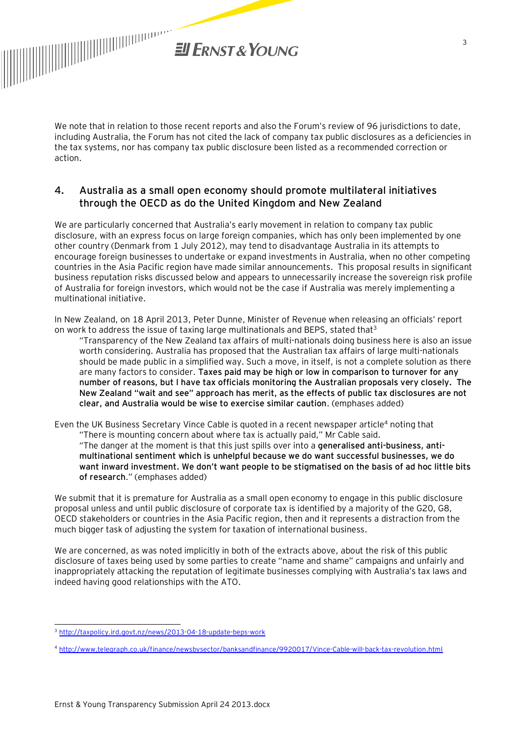

We note that in relation to those recent reports and also the Forum's review of 96 jurisdictions to date, including Australia, the Forum has not cited the lack of company tax public disclosures as a deficiencies in the tax systems, nor has company tax public disclosure been listed as a recommended correction or action.

## **4. Australia as a small open economy should promote multilateral initiatives through the OECD as do the United Kingdom and New Zealand**

We are particularly concerned that Australia's early movement in relation to company tax public disclosure, with an express focus on large foreign companies, which has only been implemented by one other country (Denmark from 1 July 2012), may tend to disadvantage Australia in its attempts to encourage foreign businesses to undertake or expand investments in Australia, when no other competing countries in the Asia Pacific region have made similar announcements. This proposal results in significant business reputation risks discussed below and appears to unnecessarily increase the sovereign risk profile of Australia for foreign investors, which would not be the case if Australia was merely implementing a multinational initiative.

In New Zealand, on 18 April 2013, Peter Dunne, Minister of Revenue when releasing an officials' report on work to address the issue of taxing large multinationals and BEPS, stated that<sup>3</sup>

"Transparency of the New Zealand tax affairs of multi-nationals doing business here is also an issue worth considering. Australia has proposed that the Australian tax affairs of large multi-nationals should be made public in a simplified way. Such a move, in itself, is not a complete solution as there are many factors to consider. **Taxes paid may be high or low in comparison to turnover for any number of reasons, but I have tax officials monitoring the Australian proposals very closely. The New Zealand "wait and see" approach has merit, as the effects of public tax disclosures are not clear, and Australia would be wise to exercise similar caution**. (emphases added)

Even the UK Business Secretary Vince Cable is quoted in a recent newspaper article<sup>4</sup> noting that "There is mounting concern about where tax is actually paid," Mr Cable said. "The danger at the moment is that this just spills over into a **generalised anti-business, antimultinational sentiment which is unhelpful because we do want successful businesses, we do want inward investment. We don't want people to be stigmatised on the basis of ad hoc little bits of research**." (emphases added)

We submit that it is premature for Australia as a small open economy to engage in this public disclosure proposal unless and until public disclosure of corporate tax is identified by a majority of the G20, G8, OECD stakeholders or countries in the Asia Pacific region, then and it represents a distraction from the much bigger task of adjusting the system for taxation of international business.

We are concerned, as was noted implicitly in both of the extracts above, about the risk of this public disclosure of taxes being used by some parties to create "name and shame" campaigns and unfairly and inappropriately attacking the reputation of legitimate businesses complying with Australia's tax laws and indeed having good relationships with the ATO.

l

<sup>3</sup> <http://taxpolicy.ird.govt.nz/news/2013-04-18-update-beps-work>

<sup>4</sup> <http://www.telegraph.co.uk/finance/newsbysector/banksandfinance/9920017/Vince-Cable-will-back-tax-revolution.html>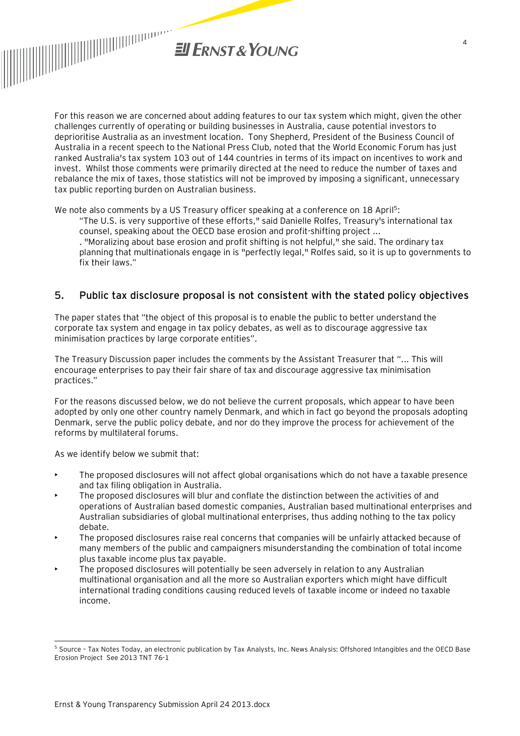

For this reason we are concerned about adding features to our tax system which might, given the other challenges currently of operating or building businesses in Australia, cause potential investors to deprioritise Australia as an investment location. Tony Shepherd, President of the Business Council of Australia in a recent speech to the National Press Club, noted that the World Economic Forum has just ranked Australia's tax system 103 out of 144 countries in terms of its impact on incentives to work and invest. Whilst those comments were primarily directed at the need to reduce the number of taxes and rebalance the mix of taxes, those statistics will not be improved by imposing a significant, unnecessary tax public reporting burden on Australian business.

We note also comments by a US Treasury officer speaking at a conference on 18 April<sup>5</sup>:

"The U.S. is very supportive of these efforts," said Danielle Rolfes, Treasury's international tax counsel, speaking about the OECD base erosion and profit-shifting project ...

. "Moralizing about base erosion and profit shifting is not helpful," she said. The ordinary tax planning that multinationals engage in is "perfectly legal," Rolfes said, so it is up to governments to fix their laws."

## **5. Public tax disclosure proposal is not consistent with the stated policy objectives**

The paper states that "the object of this proposal is to enable the public to better understand the corporate tax system and engage in tax policy debates, as well as to discourage aggressive tax minimisation practices by large corporate entities".

The Treasury Discussion paper includes the comments by the Assistant Treasurer that "... This will encourage enterprises to pay their fair share of tax and discourage aggressive tax minimisation practices."

For the reasons discussed below, we do not believe the current proposals, which appear to have been adopted by only one other country namely Denmark, and which in fact go beyond the proposals adopting Denmark, serve the public policy debate, and nor do they improve the process for achievement of the reforms by multilateral forums.

As we identify below we submit that:

l

- The proposed disclosures will not affect global organisations which do not have a taxable presence and tax filing obligation in Australia.
- The proposed disclosures will blur and conflate the distinction between the activities of and operations of Australian based domestic companies, Australian based multinational enterprises and Australian subsidiaries of global multinational enterprises, thus adding nothing to the tax policy debate.
- The proposed disclosures raise real concerns that companies will be unfairly attacked because of many members of the public and campaigners misunderstanding the combination of total income plus taxable income plus tax payable.
- The proposed disclosures will potentially be seen adversely in relation to any Australian multinational organisation and all the more so Australian exporters which might have difficult international trading conditions causing reduced levels of taxable income or indeed no taxable income.

<sup>&</sup>lt;sup>5</sup> Source - Tax Notes Today, an electronic publication by Tax Analysts, Inc. News Analysis: Offshored Intangibles and the OECD Base Erosion Project See 2013 TNT 76-1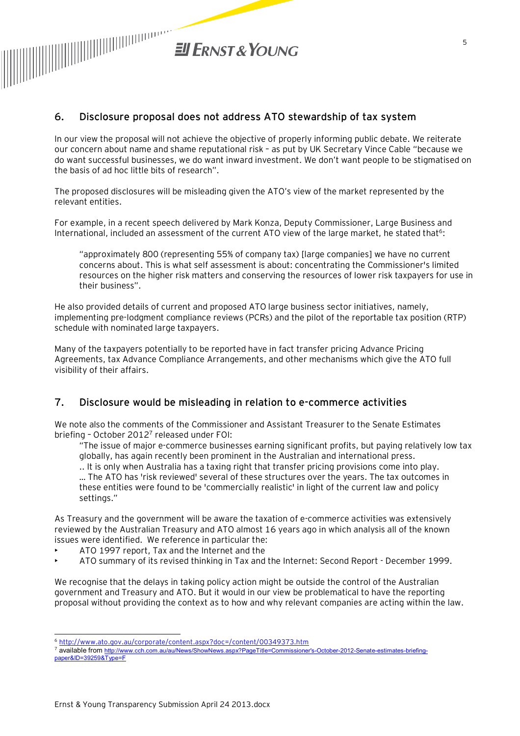

### **6. Disclosure proposal does not address ATO stewardship of tax system**

In our view the proposal will not achieve the objective of properly informing public debate. We reiterate our concern about name and shame reputational risk – as put by UK Secretary Vince Cable "because we do want successful businesses, we do want inward investment. We don't want people to be stigmatised on the basis of ad hoc little bits of research".

The proposed disclosures will be misleading given the ATO's view of the market represented by the relevant entities.

For example, in a recent speech delivered by Mark Konza, Deputy Commissioner, Large Business and International, included an assessment of the current ATO view of the large market, he stated that<sup>6</sup>:

"approximately 800 (representing 55% of company tax) [large companies] we have no current concerns about. This is what self assessment is about: concentrating the Commissioner's limited resources on the higher risk matters and conserving the resources of lower risk taxpayers for use in their business".

He also provided details of current and proposed ATO large business sector initiatives, namely, implementing pre-lodgment compliance reviews (PCRs) and the pilot of the reportable tax position (RTP) schedule with nominated large taxpayers.

Many of the taxpayers potentially to be reported have in fact transfer pricing Advance Pricing Agreements, tax Advance Compliance Arrangements, and other mechanisms which give the ATO full visibility of their affairs.

#### **7. Disclosure would be misleading in relation to e-commerce activities**

We note also the comments of the Commissioner and Assistant Treasurer to the Senate Estimates briefing - October 2012<sup>7</sup> released under FOI:

"The issue of major e-commerce businesses earning significant profits, but paying relatively low tax globally, has again recently been prominent in the Australian and international press.

.. It is only when Australia has a taxing right that transfer pricing provisions come into play. … The ATO has 'risk reviewed' several of these structures over the years. The tax outcomes in these entities were found to be 'commercially realistic' in light of the current law and policy settings."

As Treasury and the government will be aware the taxation of e-commerce activities was extensively reviewed by the Australian Treasury and ATO almost 16 years ago in which analysis all of the known issues were identified. We reference in particular the:

- ATO 1997 report, Tax and the Internet and the
- ATO summary of its revised thinking in Tax and the Internet: Second Report December 1999.

We recognise that the delays in taking policy action might be outside the control of the Australian government and Treasury and ATO. But it would in our view be problematical to have the reporting proposal without providing the context as to how and why relevant companies are acting within the law.

l <sup>6</sup> <http://www.ato.gov.au/corporate/content.aspx?doc=/content/00349373.htm>

<sup>7</sup> available from <http://www.cch.com.au/au/News/ShowNews.aspx?PageTitle=Commissioner>'s-October-2012-Senate-estimates-briefingpaper&ID=39259&Type=F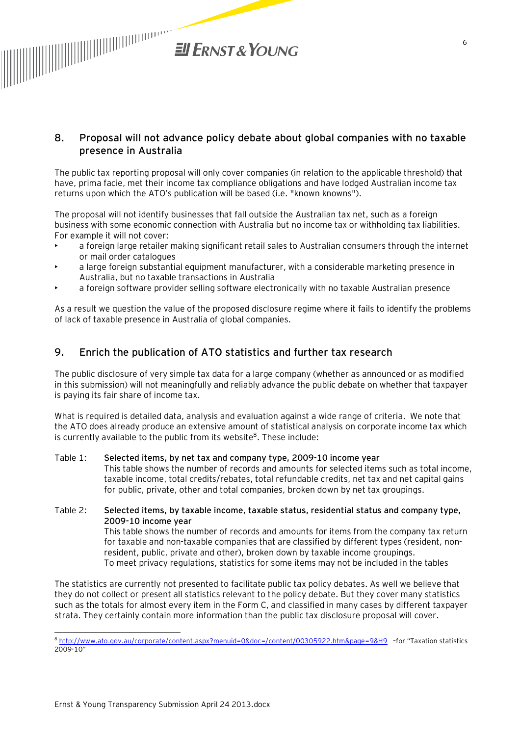

### **8. Proposal will not advance policy debate about global companies with no taxable presence in Australia**

The public tax reporting proposal will only cover companies (in relation to the applicable threshold) that have, prima facie, met their income tax compliance obligations and have lodged Australian income tax returns upon which the ATO's publication will be based (i.e. "known knowns").

The proposal will not identify businesses that fall outside the Australian tax net, such as a foreign business with some economic connection with Australia but no income tax or withholding tax liabilities. For example it will not cover:

- a foreign large retailer making significant retail sales to Australian consumers through the internet or mail order catalogues
- a large foreign substantial equipment manufacturer, with a considerable marketing presence in Australia, but no taxable transactions in Australia
- a foreign software provider selling software electronically with no taxable Australian presence

As a result we question the value of the proposed disclosure regime where it fails to identify the problems of lack of taxable presence in Australia of global companies.

## **9. Enrich the publication of ATO statistics and further tax research**

The public disclosure of very simple tax data for a large company (whether as announced or as modified in this submission) will not meaningfully and reliably advance the public debate on whether that taxpayer is paying its fair share of income tax.

What is required is detailed data, analysis and evaluation against a wide range of criteria. We note that the ATO does already produce an extensive amount of statistical analysis on corporate income tax which is currently available to the public from its website<sup>8</sup>. These include:

#### Table 1: **Selected items, by net tax and company type, 2009-10 income year**  This table shows the number of records and amounts for selected items such as total income, taxable income, total credits/rebates, total refundable credits, net tax and net capital gains for public, private, other and total companies, broken down by net tax groupings.

Table 2: **Selected items, by taxable income, taxable status, residential status and company type, 2009-10 income year**  This table shows the number of records and amounts for items from the company tax return for taxable and non-taxable companies that are classified by different types (resident, nonresident, public, private and other), broken down by taxable income groupings. To meet privacy regulations, statistics for some items may not be included in the tables

The statistics are currently not presented to facilitate public tax policy debates. As well we believe that they do not collect or present all statistics relevant to the policy debate. But they cover many statistics such as the totals for almost every item in the Form C, and classified in many cases by different taxpayer strata. They certainly contain more information than the public tax disclosure proposal will cover.

l

<sup>8</sup> <http://www.ato.gov.au/corporate/content.aspx?menuid=0&doc=/content/00305922.htm&page=9&H9> –for "Taxation statistics 2009-10"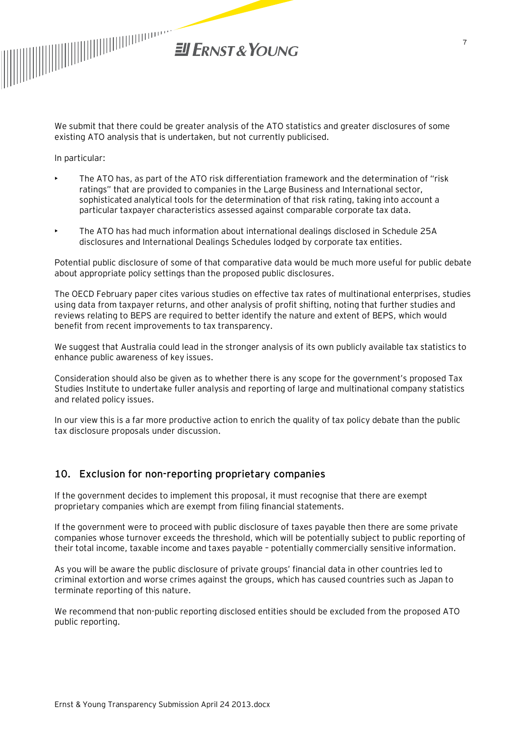

We submit that there could be greater analysis of the ATO statistics and greater disclosures of some existing ATO analysis that is undertaken, but not currently publicised.

In particular:

- The ATO has, as part of the ATO risk differentiation framework and the determination of "risk ratings" that are provided to companies in the Large Business and International sector, sophisticated analytical tools for the determination of that risk rating, taking into account a particular taxpayer characteristics assessed against comparable corporate tax data.
- The ATO has had much information about international dealings disclosed in Schedule 25A disclosures and International Dealings Schedules lodged by corporate tax entities.

Potential public disclosure of some of that comparative data would be much more useful for public debate about appropriate policy settings than the proposed public disclosures.

The OECD February paper cites various studies on effective tax rates of multinational enterprises, studies using data from taxpayer returns, and other analysis of profit shifting, noting that further studies and reviews relating to BEPS are required to better identify the nature and extent of BEPS, which would benefit from recent improvements to tax transparency.

We suggest that Australia could lead in the stronger analysis of its own publicly available tax statistics to enhance public awareness of key issues.

Consideration should also be given as to whether there is any scope for the government's proposed Tax Studies Institute to undertake fuller analysis and reporting of large and multinational company statistics and related policy issues.

In our view this is a far more productive action to enrich the quality of tax policy debate than the public tax disclosure proposals under discussion.

#### **10. Exclusion for non-reporting proprietary companies**

If the government decides to implement this proposal, it must recognise that there are exempt proprietary companies which are exempt from filing financial statements.

If the government were to proceed with public disclosure of taxes payable then there are some private companies whose turnover exceeds the threshold, which will be potentially subject to public reporting of their total income, taxable income and taxes payable – potentially commercially sensitive information.

As you will be aware the public disclosure of private groups' financial data in other countries led to criminal extortion and worse crimes against the groups, which has caused countries such as Japan to terminate reporting of this nature.

We recommend that non-public reporting disclosed entities should be excluded from the proposed ATO public reporting.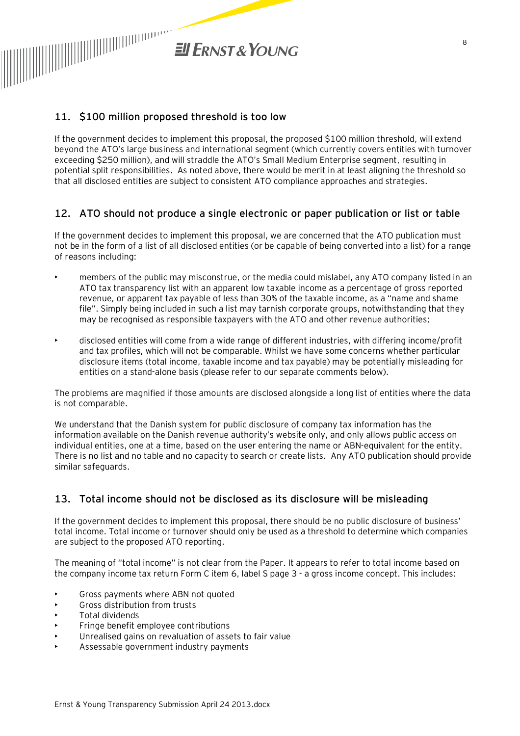

## **11. \$100 million proposed threshold is too low**

If the government decides to implement this proposal, the proposed \$100 million threshold, will extend beyond the ATO's large business and international segment (which currently covers entities with turnover exceeding \$250 million), and will straddle the ATO's Small Medium Enterprise segment, resulting in potential split responsibilities. As noted above, there would be merit in at least aligning the threshold so that all disclosed entities are subject to consistent ATO compliance approaches and strategies.

## **12. ATO should not produce a single electronic or paper publication or list or table**

If the government decides to implement this proposal, we are concerned that the ATO publication must not be in the form of a list of all disclosed entities (or be capable of being converted into a list) for a range of reasons including:

- members of the public may misconstrue, or the media could mislabel, any ATO company listed in an ATO tax transparency list with an apparent low taxable income as a percentage of gross reported revenue, or apparent tax payable of less than 30% of the taxable income, as a "name and shame file". Simply being included in such a list may tarnish corporate groups, notwithstanding that they may be recognised as responsible taxpayers with the ATO and other revenue authorities;
- disclosed entities will come from a wide range of different industries, with differing income/profit and tax profiles, which will not be comparable. Whilst we have some concerns whether particular disclosure items (total income, taxable income and tax payable) may be potentially misleading for entities on a stand-alone basis (please refer to our separate comments below).

The problems are magnified if those amounts are disclosed alongside a long list of entities where the data is not comparable.

We understand that the Danish system for public disclosure of company tax information has the information available on the Danish revenue authority's website only, and only allows public access on individual entities, one at a time, based on the user entering the name or ABN-equivalent for the entity. There is no list and no table and no capacity to search or create lists. Any ATO publication should provide similar safeguards.

## **13. Total income should not be disclosed as its disclosure will be misleading**

If the government decides to implement this proposal, there should be no public disclosure of business' total income. Total income or turnover should only be used as a threshold to determine which companies are subject to the proposed ATO reporting.

The meaning of "total income" is not clear from the Paper. It appears to refer to total income based on the company income tax return Form C item 6, label S page 3 - a gross income concept. This includes:

- Gross payments where ABN not quoted
- Gross distribution from trusts
- Total dividends
- Fringe benefit employee contributions
- Unrealised gains on revaluation of assets to fair value
- Assessable government industry payments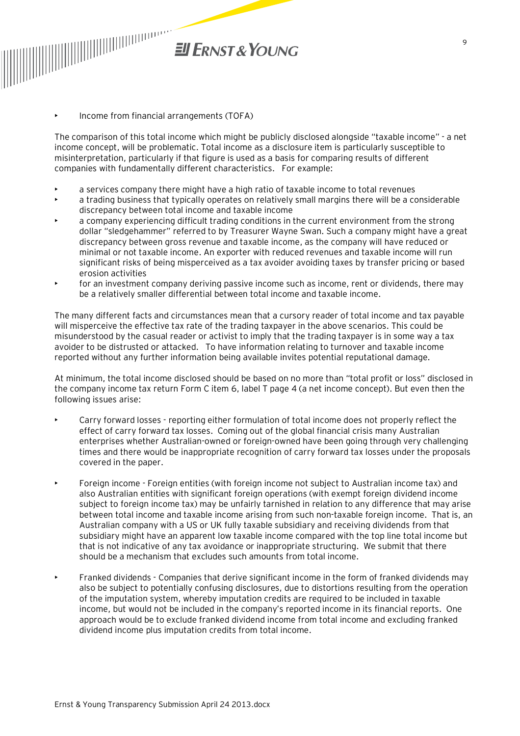

• Income from financial arrangements (TOFA)

The comparison of this total income which might be publicly disclosed alongside "taxable income" - a net income concept, will be problematic. Total income as a disclosure item is particularly susceptible to misinterpretation, particularly if that figure is used as a basis for comparing results of different companies with fundamentally different characteristics. For example:

- a services company there might have a high ratio of taxable income to total revenues
- a trading business that typically operates on relatively small margins there will be a considerable discrepancy between total income and taxable income
- a company experiencing difficult trading conditions in the current environment from the strong dollar "sledgehammer" referred to by Treasurer Wayne Swan. Such a company might have a great discrepancy between gross revenue and taxable income, as the company will have reduced or minimal or not taxable income. An exporter with reduced revenues and taxable income will run significant risks of being misperceived as a tax avoider avoiding taxes by transfer pricing or based erosion activities
- for an investment company deriving passive income such as income, rent or dividends, there may be a relatively smaller differential between total income and taxable income.

The many different facts and circumstances mean that a cursory reader of total income and tax payable will misperceive the effective tax rate of the trading taxpayer in the above scenarios. This could be misunderstood by the casual reader or activist to imply that the trading taxpayer is in some way a tax avoider to be distrusted or attacked. To have information relating to turnover and taxable income reported without any further information being available invites potential reputational damage.

At minimum, the total income disclosed should be based on no more than "total profit or loss" disclosed in the company income tax return Form C item 6, label T page 4 (a net income concept). But even then the following issues arise:

- Carry forward losses reporting either formulation of total income does not properly reflect the effect of carry forward tax losses. Coming out of the global financial crisis many Australian enterprises whether Australian-owned or foreign-owned have been going through very challenging times and there would be inappropriate recognition of carry forward tax losses under the proposals covered in the paper.
- Foreign income Foreign entities (with foreign income not subject to Australian income tax) and also Australian entities with significant foreign operations (with exempt foreign dividend income subject to foreign income tax) may be unfairly tarnished in relation to any difference that may arise between total income and taxable income arising from such non-taxable foreign income. That is, an Australian company with a US or UK fully taxable subsidiary and receiving dividends from that subsidiary might have an apparent low taxable income compared with the top line total income but that is not indicative of any tax avoidance or inappropriate structuring. We submit that there should be a mechanism that excludes such amounts from total income.
- Franked dividends Companies that derive significant income in the form of franked dividends may also be subject to potentially confusing disclosures, due to distortions resulting from the operation of the imputation system, whereby imputation credits are required to be included in taxable income, but would not be included in the company's reported income in its financial reports. One approach would be to exclude franked dividend income from total income and excluding franked dividend income plus imputation credits from total income.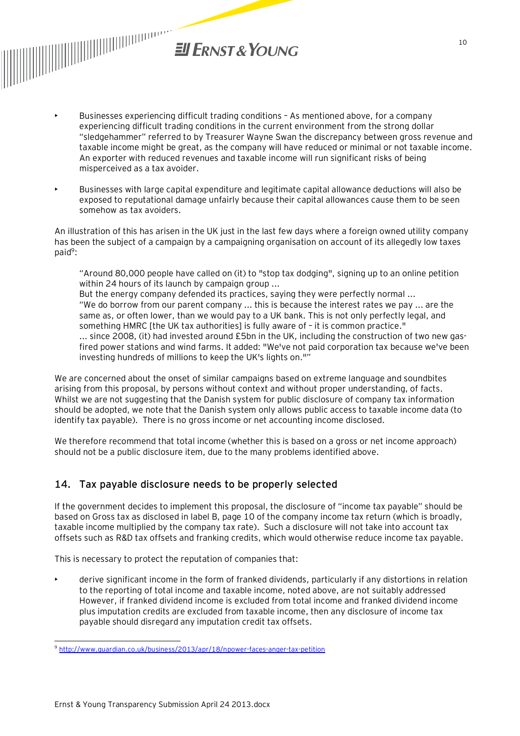

- Businesses experiencing difficult trading conditions As mentioned above, for a company experiencing difficult trading conditions in the current environment from the strong dollar "sledgehammer" referred to by Treasurer Wayne Swan the discrepancy between gross revenue and taxable income might be great, as the company will have reduced or minimal or not taxable income. An exporter with reduced revenues and taxable income will run significant risks of being misperceived as a tax avoider.
- Businesses with large capital expenditure and legitimate capital allowance deductions will also be exposed to reputational damage unfairly because their capital allowances cause them to be seen somehow as tax avoiders.

An illustration of this has arisen in the UK just in the last few days where a foreign owned utility company has been the subject of a campaign by a campaigning organisation on account of its allegedly low taxes paid<sup>9</sup>:

"Around 80,000 people have called on (it) to "stop tax dodging", signing up to an online petition within 24 hours of its launch by campaign group ... But the energy company defended its practices, saying they were perfectly normal ... "We do borrow from our parent company ... this is because the interest rates we pay ... are the same as, or often lower, than we would pay to a UK bank. This is not only perfectly legal, and something HMRC [the UK tax authorities] is fully aware of – it is common practice." ... since 2008, (it) had invested around £5bn in the UK, including the construction of two new gasfired power stations and wind farms. It added: "We've not paid corporation tax because we've been investing hundreds of millions to keep the UK's lights on.""

We are concerned about the onset of similar campaigns based on extreme language and soundbites arising from this proposal, by persons without context and without proper understanding, of facts. Whilst we are not suggesting that the Danish system for public disclosure of company tax information should be adopted, we note that the Danish system only allows public access to taxable income data (to identify tax payable). There is no gross income or net accounting income disclosed.

We therefore recommend that total income (whether this is based on a gross or net income approach) should not be a public disclosure item, due to the many problems identified above.

## **14. Tax payable disclosure needs to be properly selected**

If the government decides to implement this proposal, the disclosure of "income tax payable" should be based on Gross tax as disclosed in label B, page 10 of the company income tax return (which is broadly, taxable income multiplied by the company tax rate). Such a disclosure will not take into account tax offsets such as R&D tax offsets and franking credits, which would otherwise reduce income tax payable.

This is necessary to protect the reputation of companies that:

• derive significant income in the form of franked dividends, particularly if any distortions in relation to the reporting of total income and taxable income, noted above, are not suitably addressed However, if franked dividend income is excluded from total income and franked dividend income plus imputation credits are excluded from taxable income, then any disclosure of income tax payable should disregard any imputation credit tax offsets.

l <sup>9</sup> <http://www.guardian.co.uk/business/2013/apr/18/npower-faces-anger-tax-petition>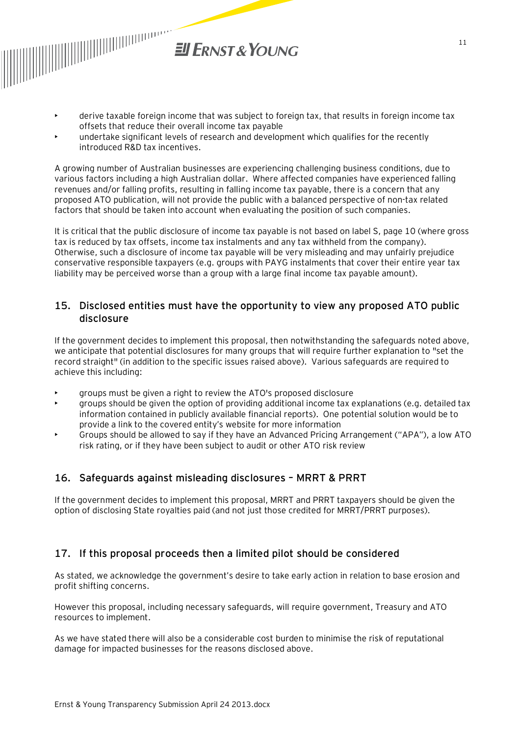

- derive taxable foreign income that was subject to foreign tax, that results in foreign income tax offsets that reduce their overall income tax payable
- undertake significant levels of research and development which qualifies for the recently introduced R&D tax incentives.

A growing number of Australian businesses are experiencing challenging business conditions, due to various factors including a high Australian dollar. Where affected companies have experienced falling revenues and/or falling profits, resulting in falling income tax payable, there is a concern that any proposed ATO publication, will not provide the public with a balanced perspective of non-tax related factors that should be taken into account when evaluating the position of such companies.

It is critical that the public disclosure of income tax payable is not based on label S, page 10 (where gross tax is reduced by tax offsets, income tax instalments and any tax withheld from the company). Otherwise, such a disclosure of income tax payable will be very misleading and may unfairly prejudice conservative responsible taxpayers (e.g. groups with PAYG instalments that cover their entire year tax liability may be perceived worse than a group with a large final income tax payable amount).

#### **15. Disclosed entities must have the opportunity to view any proposed ATO public disclosure**

If the government decides to implement this proposal, then notwithstanding the safeguards noted above, we anticipate that potential disclosures for many groups that will require further explanation to "set the record straight" (in addition to the specific issues raised above). Various safeguards are required to achieve this including:

- groups must be given a right to review the ATO's proposed disclosure
- groups should be given the option of providing additional income tax explanations (e.g. detailed tax information contained in publicly available financial reports). One potential solution would be to provide a link to the covered entity's website for more information
- Groups should be allowed to say if they have an Advanced Pricing Arrangement ("APA"), a low ATO risk rating, or if they have been subject to audit or other ATO risk review

# **16. Safeguards against misleading disclosures – MRRT & PRRT**

If the government decides to implement this proposal, MRRT and PRRT taxpayers should be given the option of disclosing State royalties paid (and not just those credited for MRRT/PRRT purposes).

## **17. If this proposal proceeds then a limited pilot should be considered**

As stated, we acknowledge the government's desire to take early action in relation to base erosion and profit shifting concerns.

However this proposal, including necessary safeguards, will require government, Treasury and ATO resources to implement.

As we have stated there will also be a considerable cost burden to minimise the risk of reputational damage for impacted businesses for the reasons disclosed above.